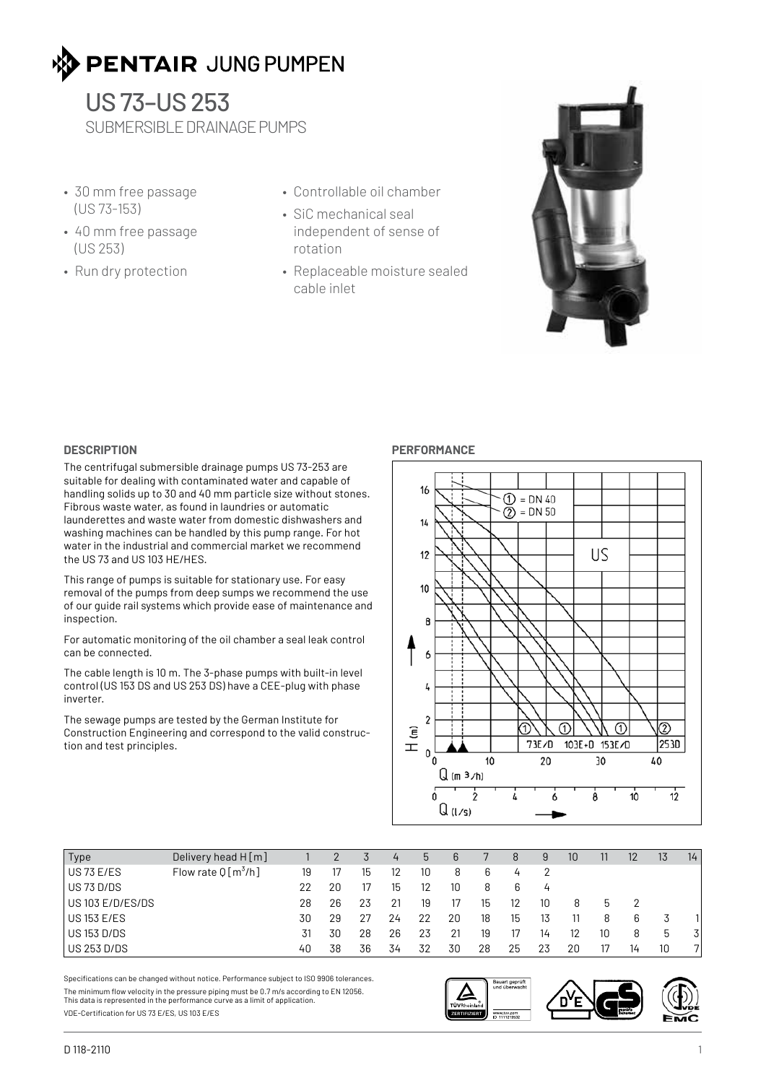

 $\overline{\phantom{a}}$  submersible drainage pumps of  $\overline{\phantom{a}}$ SUBMERSIBLE DRAINAGE PUMPS US 73–US 253

- 30 mm free passage (US 73-153)
- 40 mm free passage (US 253)
- Run dry protection
- Controllable oil chamber
- SiC mechanical seal independent of sense of rotation
- Replaceable moisture sealed cable inlet



### **DESCRIPTION**

The centrifugal submersible drainage pumps US 73-253 are suitable for dealing with contaminated water and capable of handling solids up to 30 and 40 mm particle size without stones. Fibrous waste water, as found in laundries or automatic launderettes and waste water from domestic dishwashers and washing machines can be handled by this pump range. For hot water in the industrial and commercial market we recommend the US 73 and US 103 HE/HES.

This range of pumps is suitable for stationary use. For easy removal of the pumps from deep sumps we recommend the use of our guide rail systems which provide ease of maintenance and inspection.

For automatic monitoring of the oil chamber a seal leak control can be connected.

The cable length is 10 m. The 3-phase pumps with built-in level control (US 153 DS and US 253 DS) have a CEE-plug with phase inverter.

The sewage pumps are tested by the German Institute for Construction Engineering and correspond to the valid construction and test principles.

### **PERFORMANCE**



| Type               | Delivery head $H[m]$ |    |    |    | 4  | 5  | 6  |    | 8  | 9  | 10 | 11 | 12 | 13 | 14 |
|--------------------|----------------------|----|----|----|----|----|----|----|----|----|----|----|----|----|----|
| US 73 E/ES         | Flow rate $Q[m^3/h]$ | 19 | 17 | 15 | 12 | 10 | 8  | 6  |    |    |    |    |    |    |    |
| l US 73 D/DS       |                      | 22 | 20 |    | 15 | 12 | 10 | 8  | 6  |    |    |    |    |    |    |
| l US 103 E/D/ES/DS |                      | 28 | 26 | 23 |    | 19 | 17 | 15 | 12 | 10 | 8  | b  |    |    |    |
| US 153 E/ES        |                      | 30 | 29 |    | 24 | 22 | 20 | 18 | 15 | 13 |    | 8  | 6  |    |    |
| US 153 D/DS        |                      | 31 | 30 | 28 | 26 | 23 | 21 | 19 | 17 | 14 | 12 | 10 | 8  | b  | 3  |
| US 253 D/DS        |                      | 40 | 38 | 36 | 34 | 32 | 30 | 28 | 25 | 23 | 20 |    | 14 | 10 |    |

Specifications can be changed without notice. Performance subject to ISO 9906 tolerances. The minimum flow velocity in the pressure piping must be 0.7 m/s according to EN 12056. This data is represented in the performance curve as a limit of application.

VDE-Certification for US 73 E/ES, US 103 E/ES

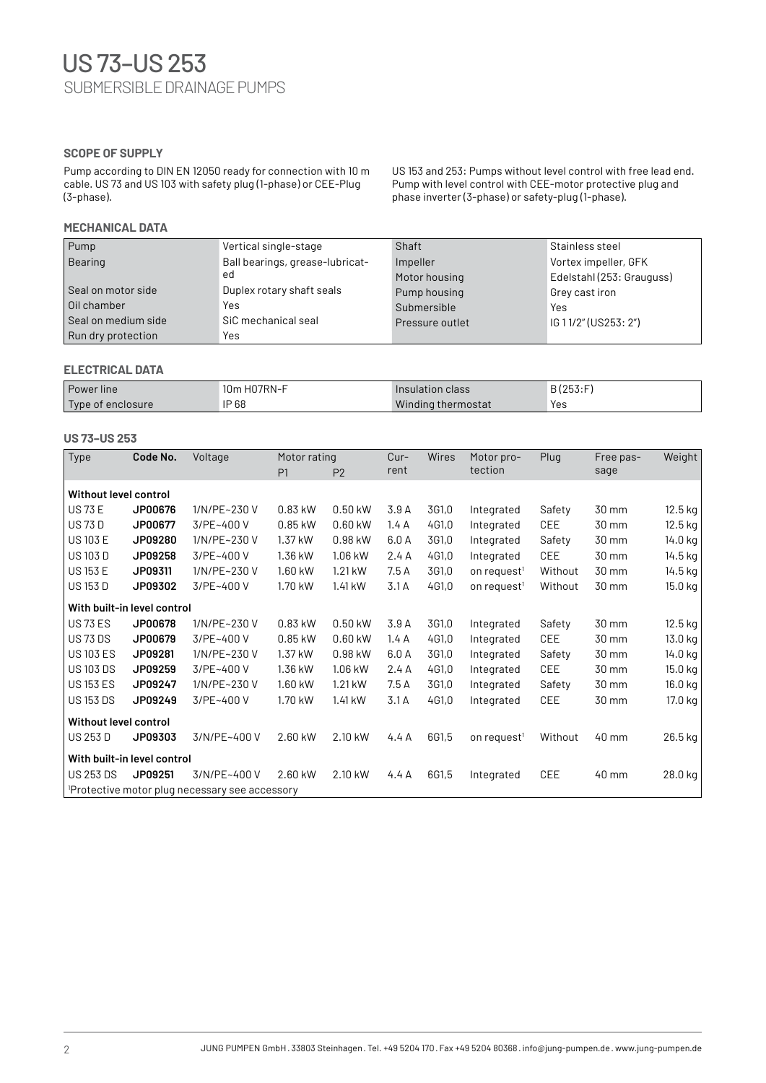### **SCOPE OF SUPPLY**

Pump according to DIN EN 12050 ready for connection with 10 m cable. US 73 and US 103 with safety plug (1-phase) or CEE-Plug (3-phase).

### **MECHANICAL DATA**

US 153 and 253: Pumps without level control with free lead end. Pump with level control with CEE-motor protective plug and phase inverter (3-phase) or safety-plug (1-phase).

| Pump                 | Vertical single-stage           | Shaft           | Stainless steel           |
|----------------------|---------------------------------|-----------------|---------------------------|
| Bearing              | Ball bearings, grease-lubricat- | Impeller        | Vortex impeller, GFK      |
|                      | ed                              | Motor housing   | Edelstahl (253: Grauguss) |
| l Seal on motor side | Duplex rotary shaft seals       | Pump housing    | Grey cast iron            |
| Oil chamber          | Yes                             | Submersible     | Yes                       |
| Seal on medium side  | SiC mechanical seal             | Pressure outlet | IG 11/2" (US253: 2")      |
| Run dry protection   | Yes                             |                 |                           |

### **ELECTRICAL DATA**

| Power line        | <sub>i</sub> 0m H07RN-F | Insulation class   | .253:F<br>ВG |
|-------------------|-------------------------|--------------------|--------------|
| Type of enclosure | IP 68                   | Winding thermostat | Yes          |

### **US 73–US 253**

| Type                        | Code No.                                      | Voltage      | Motor rating |           | $Cur-$ | Wires | Motor pro-              | Plug       | Free pas- | Weight  |
|-----------------------------|-----------------------------------------------|--------------|--------------|-----------|--------|-------|-------------------------|------------|-----------|---------|
|                             |                                               |              | P1           | P2        | rent   |       | tection                 |            | sage      |         |
| Without level control       |                                               |              |              |           |        |       |                         |            |           |         |
| <b>US73E</b>                | JP00676                                       | 1/N/PE~230 V | $0.83$ kW    | $0.50$ kW | 3.9A   | 3G1,0 | Integrated              | Safety     | 30 mm     | 12.5 kg |
| <b>US73D</b>                | JP00677                                       | 3/PE~400 V   | $0.85$ kW    | $0.60$ kW | 1.4A   | 4G1,0 | Integrated              | <b>CEE</b> | 30 mm     | 12.5 kg |
| <b>US103E</b>               | JP09280                                       | 1/N/PE~230 V | 1.37 kW      | $0.98$ kW | 6.0 A  | 3G1,0 | Integrated              | Safety     | 30 mm     | 14.0 kg |
| <b>US103D</b>               | JP09258                                       | 3/PE~400 V   | 1.36 kW      | 1.06 kW   | 2.4A   | 4G1,0 | Integrated              | CEE        | 30 mm     | 14.5 kg |
| <b>US153E</b>               | JP09311                                       | 1/N/PE~230 V | 1.60 kW      | 1.21 kW   | 7.5A   | 3G1,0 | on request <sup>1</sup> | Without    | 30 mm     | 14.5 kg |
| <b>US153D</b>               | JP09302                                       | 3/PE~400 V   | 1.70 kW      | $1.41$ kW | 3.1A   | 4G1,0 | on request <sup>1</sup> | Without    | 30 mm     | 15.0 kg |
| With built-in level control |                                               |              |              |           |        |       |                         |            |           |         |
| <b>US 73 ES</b>             | JP00678                                       | 1/N/PE~230 V | $0.83$ kW    | $0.50$ kW | 3.9A   | 3G1,0 | Integrated              | Safety     | 30 mm     | 12.5 kg |
| <b>US 73 DS</b>             | JP00679                                       | 3/PE~400 V   | $0.85$ kW    | $0.60$ kW | 1.4A   | 4G1,0 | Integrated              | <b>CEE</b> | 30 mm     | 13.0 kg |
| <b>US103 ES</b>             | JP09281                                       | 1/N/PE~230 V | 1.37 kW      | $0.98$ kW | 6.0 A  | 3G1,0 | Integrated              | Safety     | 30 mm     | 14.0 kg |
| <b>US103DS</b>              | JP09259                                       | 3/PE~400 V   | 1.36 kW      | 1.06 kW   | 2.4A   | 4G1.0 | Integrated              | CEE        | 30 mm     | 15.0 kg |
| <b>US153 ES</b>             | JP09247                                       | 1/N/PE~230 V | 1.60 kW      | 1.21 kW   | 7.5A   | 3G1,0 | Integrated              | Safety     | 30 mm     | 16.0 kg |
| <b>US 153 DS</b>            | JP09249                                       | 3/PE~400 V   | 1.70 kW      | 1.41 kW   | 3.1A   | 4G1,0 | Integrated              | CEE        | 30 mm     | 17.0 kg |
| Without level control       |                                               |              |              |           |        |       |                         |            |           |         |
| US 253 D                    | JP09303                                       | 3/N/PE~400 V | 2.60 kW      | 2.10 kW   | 4.4A   | 6G1,5 | on request <sup>1</sup> | Without    | 40 mm     | 26.5 kg |
| With built-in level control |                                               |              |              |           |        |       |                         |            |           |         |
| <b>US 253 DS</b>            | JP09251                                       | 3/N/PE~400 V | 2.60 kW      | 2.10 kW   | 4.4A   | 6G1,5 | Integrated              | <b>CEE</b> | 40 mm     | 28.0 kg |
|                             | Protective motor plug necessary see accessory |              |              |           |        |       |                         |            |           |         |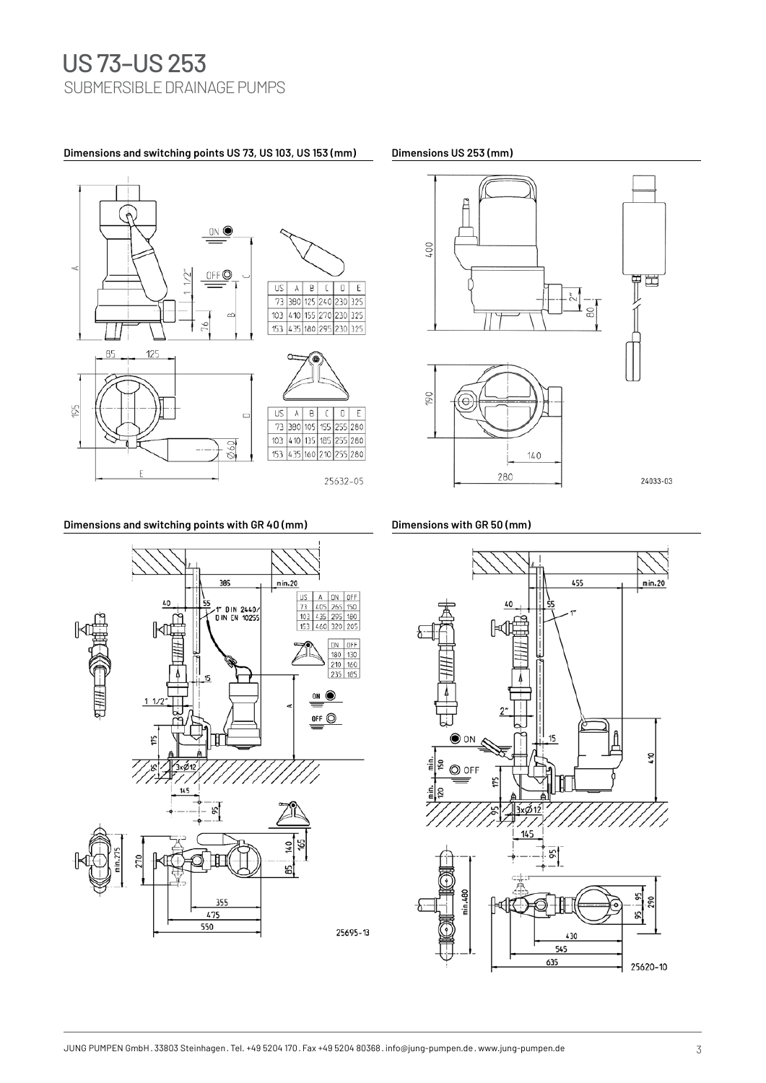### **Dimensions and switching points US 73, US 103, US 153 (mm) Dimensions US 253 (mm)**





### **Dimensions and switching points with GR 40 (mm) Dimensions with GR 50 (mm)**



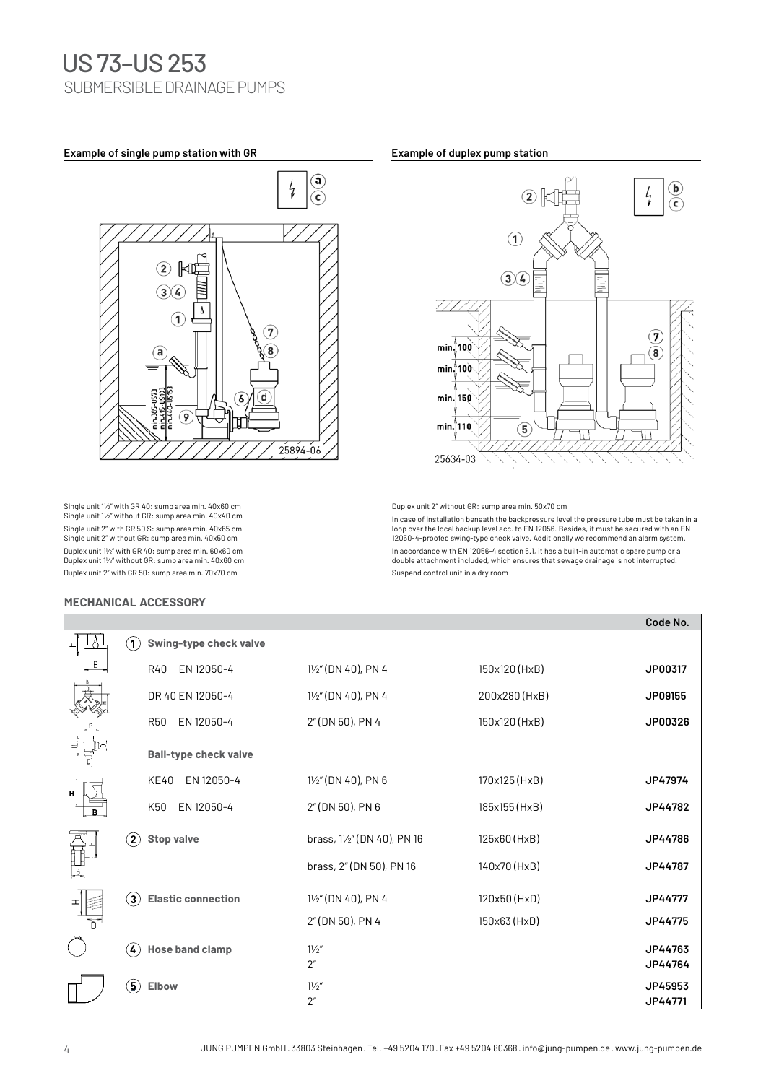## SUBMERSIBLE DRAINAGE PUMPS US 73–US 253

### **Example of single pump station with GR Example of duplex pump station**



Single unit 1½" with GR 40: sump area min. 40x60 cm Single unit 1½" without GR: sump area min. 40x40 cm Single unit 2" with GR 50 S: sump area min. 40x65 cm Single unit 2" without GR: sump area min. 40x50 cm Duplex unit 1½" with GR 40: sump area min. 60x60 cm Duplex unit 1½" without GR: sump area min. 40x60 cm Duplex unit 2" with GR 50: sump area min. 70x70 cm

### **MECHANICAL ACCESSORY** Г



Duplex unit 2" without GR: sump area min. 50x70 cm

In case of installation beneath the backpressure level the pressure tube must be taken in a loop over the local backup level acc. to EN 12056. Besides, it must be secured with an EN 12050-4-proofed swing-type check valve. Additionally we recommend an alarm system. In accordance with EN 12056-4 section 5.1, it has a built-in automatic spare pump or a double attachment included, which ensures that sewage drainage is not interrupted. Suspend control unit in a dry room

**Code No.**

|   |                                       |                             |               | <b>ODDE ITO.</b> |
|---|---------------------------------------|-----------------------------|---------------|------------------|
| 工 | <b>Swing-type check valve</b><br>(1)  |                             |               |                  |
| B | EN 12050-4<br>R40                     | 11/2" (DN 40), PN 4         | 150x120 (HxB) | JP00317          |
|   | DR 40 EN 12050-4                      | 11/2" (DN 40), PN 4         | 200x280 (HxB) | JP09155          |
|   | EN 12050-4<br><b>R50</b>              | 2" (DN 50), PN 4            | 150x120 (HxB) | JP00326          |
|   | <b>Ball-type check valve</b>          |                             |               |                  |
| н | EN 12050-4<br><b>KE40</b>             | 11/2" (DN 40), PN 6         | 170x125 (HxB) | JP47974          |
|   | EN 12050-4<br>K50                     | 2" (DN 50), PN 6            | 185x155 (HxB) | JP44782          |
|   | $\bf{(2)}$<br><b>Stop valve</b>       | brass, 11/2" (DN 40), PN 16 | 125x60 (HxB)  | JP44786          |
| B |                                       | brass, 2" (DN 50), PN 16    | 140x70 (HxB)  | JP44787          |
|   | <b>Elastic connection</b><br>$\bf(3)$ | 11/2" (DN 40), PN 4         | 120x50 (HxD)  | JP44777          |
|   |                                       | 2" (DN 50), PN 4            | 150x63 (HxD)  | JP44775          |
|   | <b>Hose band clamp</b><br>$\bf(4)$    | $1\frac{1}{2}$              |               | JP44763          |
|   |                                       | 2 <sup>''</sup>             |               | JP44764          |
|   | $\bf (\bar{\bf 5})$<br>Elbow          | $1\frac{1}{2}$              |               | JP45953          |
|   |                                       | 2 <sup>''</sup>             |               | JP44771          |
|   |                                       |                             |               |                  |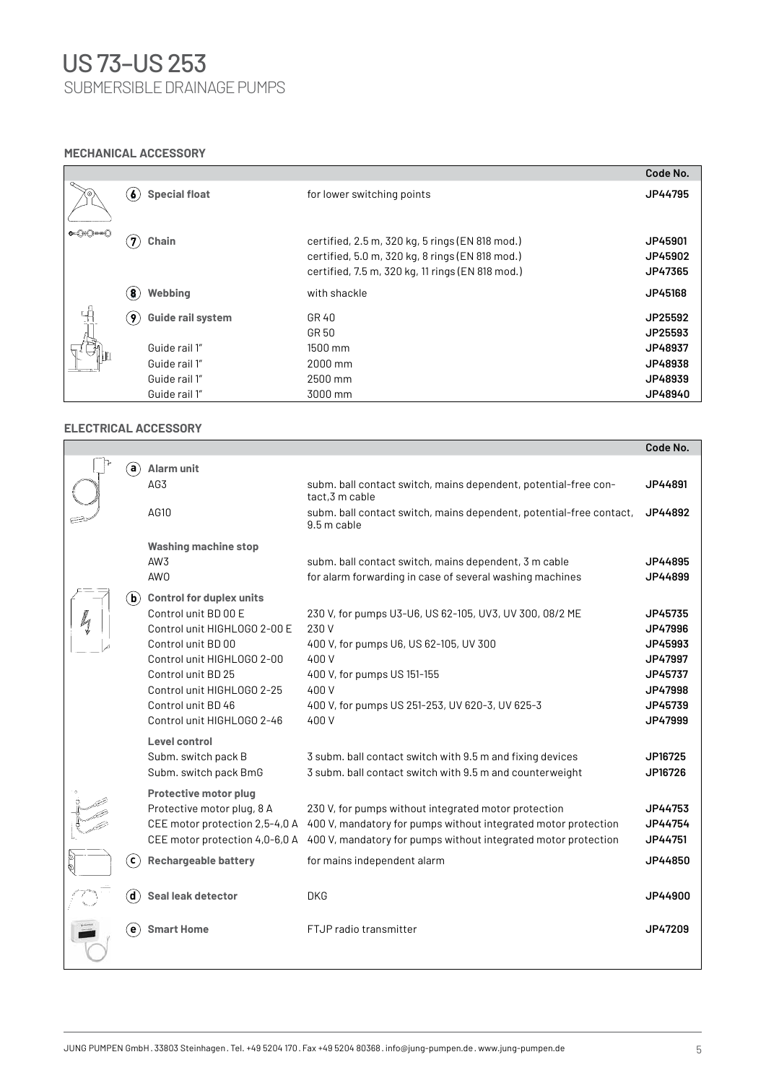# SUBMERSIBLE DRAINAGE PUMPS US 73–US 253

### **MECHANICAL ACCESSORY**

|         |                                                 |                                                                                                                                                        | Code No.                      |
|---------|-------------------------------------------------|--------------------------------------------------------------------------------------------------------------------------------------------------------|-------------------------------|
|         | <b>Special float</b><br>$\left( 6\right)$       | for lower switching points                                                                                                                             | JP44795                       |
| ⇔⊝⊧⊙⇔   | $^{\prime}$ 7,<br>Chain                         | certified, 2.5 m, 320 kg, 5 rings (EN 818 mod.)<br>certified, 5.0 m, 320 kg, 8 rings (EN 818 mod.)<br>certified, 7.5 m, 320 kg, 11 rings (EN 818 mod.) | JP45901<br>JP45902<br>JP47365 |
|         | $\left( \mathbf{8}\right)$<br>Webbing           | with shackle                                                                                                                                           | JP45168                       |
| 다.<br>다 | Guide rail system<br>$\left( \mathbf{9}\right)$ | GR 40<br>GR 50                                                                                                                                         | JP25592<br>JP25593            |
|         | Guide rail 1"                                   | 1500 mm                                                                                                                                                | JP48937                       |
|         | Guide rail 1"                                   | 2000 mm                                                                                                                                                | JP48938                       |
|         | Guide rail 1"                                   | 2500 mm                                                                                                                                                | JP48939                       |
|         | Guide rail 1"                                   | 3000 mm                                                                                                                                                | JP48940                       |

### **ELECTRICAL ACCESSORY**

|           |                                                              |                                                                                                                        | Code No.           |
|-----------|--------------------------------------------------------------|------------------------------------------------------------------------------------------------------------------------|--------------------|
| ´a`       | <b>Alarm unit</b>                                            |                                                                                                                        |                    |
|           | AG3                                                          | subm. ball contact switch, mains dependent, potential-free con-<br>tact.3 m cable                                      | JP44891            |
|           | AG10                                                         | subm. ball contact switch, mains dependent, potential-free contact,<br>9.5 m cable                                     | JP44892            |
|           | <b>Washing machine stop</b><br>AW3                           | subm. ball contact switch, mains dependent, 3 m cable                                                                  | JP44895            |
|           | <b>AWO</b>                                                   | for alarm forwarding in case of several washing machines                                                               | JP44899            |
| (b        | <b>Control for duplex units</b>                              |                                                                                                                        |                    |
|           | Control unit BD 00 E<br>Control unit HIGHLOGO 2-00 E         | 230 V, for pumps U3-U6, US 62-105, UV3, UV 300, 08/2 ME<br>230 V                                                       | JP45735<br>JP47996 |
|           | Control unit BD 00                                           | 400 V, for pumps U6, US 62-105, UV 300                                                                                 | JP45993            |
|           | Control unit HIGHLOGO 2-00                                   | 400V                                                                                                                   | JP47997            |
|           | Control unit BD 25                                           | 400 V, for pumps US 151-155                                                                                            | JP45737            |
|           | Control unit HIGHLOGO 2-25                                   | 400V                                                                                                                   | JP47998            |
|           | Control unit BD 46                                           | 400 V, for pumps US 251-253, UV 620-3, UV 625-3                                                                        | JP45739            |
|           | Control unit HIGHLOGO 2-46                                   | 400 V                                                                                                                  | JP47999            |
|           | Level control                                                |                                                                                                                        |                    |
|           | Subm. switch pack B                                          | 3 subm. ball contact switch with 9.5 m and fixing devices                                                              | JP16725            |
|           | Subm. switch pack BmG                                        | 3 subm. ball contact switch with 9.5 m and counterweight                                                               | JP16726            |
|           | <b>Protective motor plug</b>                                 |                                                                                                                        |                    |
|           | Protective motor plug, 8 A<br>CEE motor protection 2,5-4,0 A | 230 V, for pumps without integrated motor protection<br>400 V, mandatory for pumps without integrated motor protection | JP44753<br>JP44754 |
|           | CEE motor protection 4,0-6,0 A                               | 400 V, mandatory for pumps without integrated motor protection                                                         | JP44751            |
| $\bf (c)$ | <b>Rechargeable battery</b>                                  | for mains independent alarm                                                                                            | JP44850            |
|           |                                                              |                                                                                                                        |                    |
| d.        | <b>Seal leak detector</b>                                    | <b>DKG</b>                                                                                                             | JP44900            |
|           | <b>Smart Home</b>                                            | FTJP radio transmitter                                                                                                 | JP47209            |
|           |                                                              |                                                                                                                        |                    |